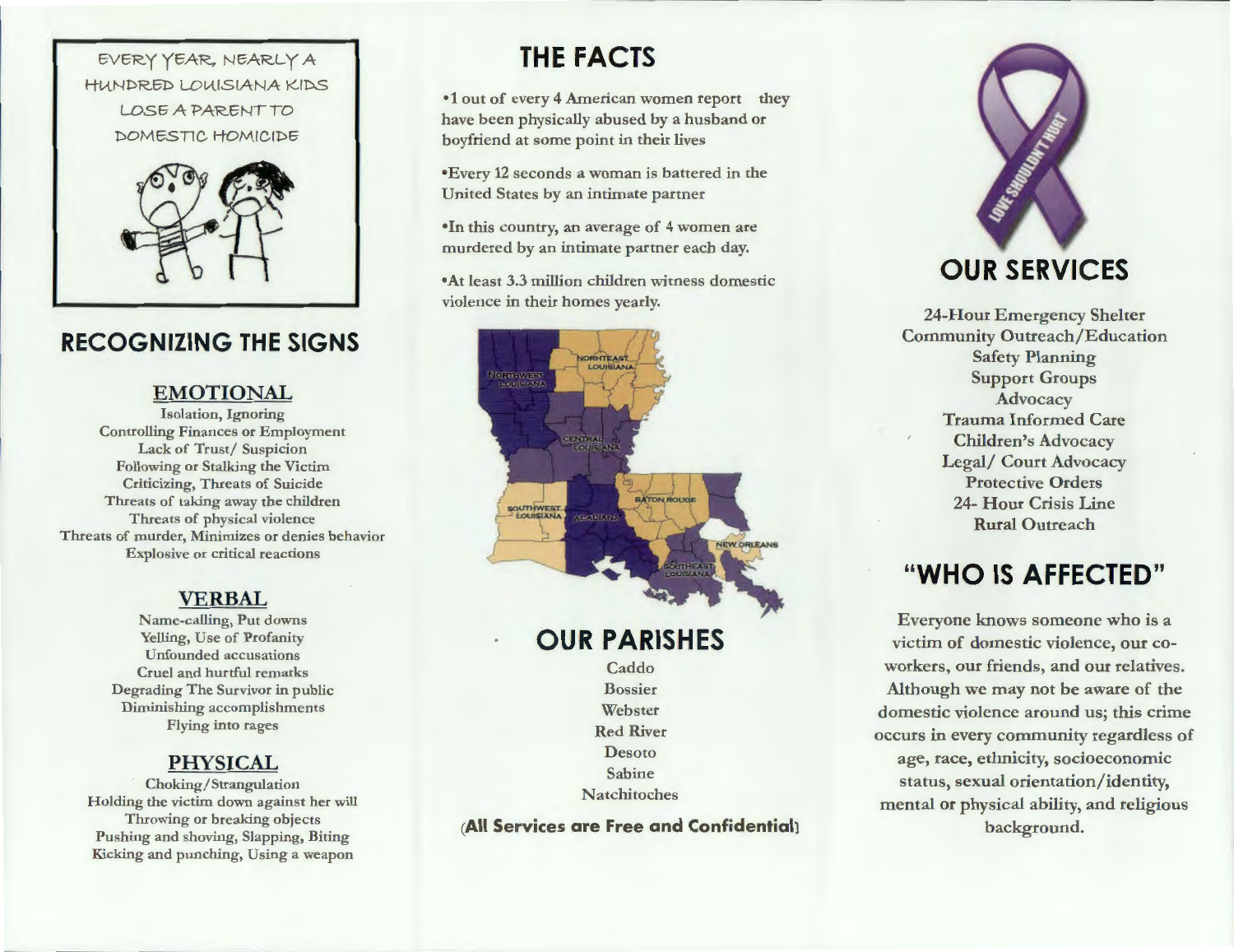



### **RECOGNIZING THE SIGNS**

#### **EMOTIONAL**

Isolation, Ignoring Controlling Finances or Employment Lack of Trust/ Suspicion Following or Stalking the Victim Criticizing, Threats of Suicide Threats of taking away the children Threats of physical violence Threats of murder, Minimizes or denies behavior Explosive or critical reactions

#### **VERBAL**

Name-calling, Put downs Yelling, Use of Profanity Unfounded accusations Cruel and hurtful remarks Degrading The Survivor in public Diminishing accomplishments Flying into rages

#### **PHYSICAL**

Choking/ Strangulation Holding the victim down against her will Throwing or breaking objects Pushing and shoving, Slapping, Biting Kicking and punching, Using a weapon

# **THE FACTS**

•1 out of every 4 American women report they have been physically abused by a husband or boyfriend at some point in their lives

•Every 12 seconds a woman is battered in the United States by an intimate partner

•In this country, an average of 4 women are murdered by an intimate partner each day.

•At least 3.3 million children witness domestic violence in their homes yearly.



**OUR PARISHES** 

Caddo Bossier Webster Red River Desoto Sabine Natchitoches

**(All Services are Free and Confidential)** 



24-Hour Emergency Shelter Community Outreach/Education Safety Planning Support Groups Advocacy Trauma Informed Care Children's Advocacy Legal/ Court Advocacy Protective Orders 24- Hour Crisis Line Rural Outreach

## **"WHO IS AFFECTED"**

Everyone knows someone who is a victim of domestic violence, our coworkers, our friends, and our relatives. Although we may not be aware of the domestic violence around us; this crime occurs in every community regardless of age, race, ethnicity, socioeconomic status, sexual orientation/identity, mental or physical ability, and religious background.